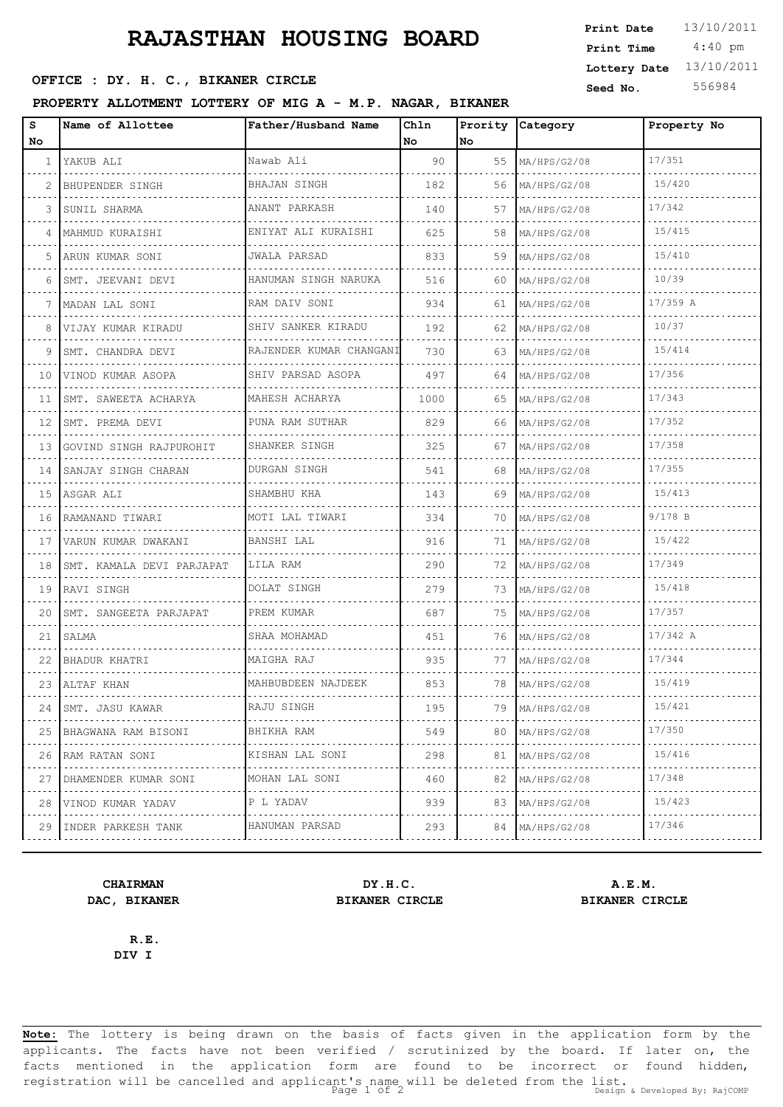# **RAJASTHAN HOUSING BOARD**

### OFFICE : DY. H. C., BIKANER CIRCLE

### **PROPERTY ALLOTMENT LOTTERY OF MIG A - M.P. NAGAR, BIKANER**

| <b>Print Date</b> | 13/10/2011 |
|-------------------|------------|
| Print Time        | $4:40$ pm  |
| Lottery Date      | 13/10/2011 |
| Seed No.          | 556984     |

| s<br>No | Name of Allottee               | Father/Husband Name        | Ch1n<br>No. | No. | Prority Category         | Property No |
|---------|--------------------------------|----------------------------|-------------|-----|--------------------------|-------------|
| 1       | YAKUB ALI                      | Nawab Ali                  | 90          | 55  | MA/HPS/G2/08             | 17/351      |
| 2       | .<br>BHUPENDER SINGH           | <b>BHAJAN SINGH</b>        | 182         | 56  | MA/HPS/G2/08             | 15/420      |
| 3       | SUNIL SHARMA                   | .<br>ANANT PARKASH         | 140         | 57  | MA/HPS/G2/08             | 17/342      |
| 4       | .<br> MAHMUD KURAISHI          | .<br>ENIYAT ALI KURAISHI   | 625         | 58  | MA/HPS/G2/08             | 15/415      |
| 5       | .<br>ARUN KUMAR SONI           | JWALA PARSAD               | 833         | 59  | MA/HPS/G2/08             | 15/410      |
| 6       | .<br>SMT. JEEVANI DEVI         | HANUMAN SINGH NARUKA       | 516         | 60  | MA/HPS/G2/08             | 10/39       |
| 7       | MADAN LAL SONI                 | RAM DAIV SONI              | 934         | 61  | MA/HPS/G2/08             | 17/359 A    |
| 8       | VIJAY KUMAR KIRADU             | SHIV SANKER KIRADU         | 192         | 62  | MA/HPS/G2/08             | 10/37       |
| 9       | SMT. CHANDRA DEVI              | RAJENDER KUMAR CHANGANI    | 730         | 63  | MA/HPS/G2/08             | 15/414      |
| 10      | VINOD KUMAR ASOPA              | SHIV PARSAD ASOPA          | 497         | 64  | MA/HPS/G2/08             | 17/356      |
| 11      | SMT. SAWEETA ACHARYA           | MAHESH ACHARYA             | 1000        | 65  | MA/HPS/G2/08             | 17/343      |
| 12      | SMT. PREMA DEVI<br>.           | PUNA RAM SUTHAR            | 829         | 66  | MA/HPS/G2/08             | 17/352      |
| 13      | GOVIND SINGH RAJPUROHIT        | SHANKER SINGH              | 325         | 67  | MA/HPS/G2/08             | 17/358      |
| 14      | SANJAY SINGH CHARAN<br>.       | DURGAN SINGH               | 541         | 68  | MA/HPS/G2/08             | 17/355      |
| 15      | ASGAR ALI                      | SHAMBHU KHA                | 143         | 69  | MA/HPS/G2/08             | 15/413      |
| 16      | RAMANAND TIWARI                | MOTI LAL TIWARI            | 334         | 70  | MA/HPS/G2/08             | $9/178$ B   |
| 17      | VARUN KUMAR DWAKANI            | BANSHI LAL                 | 916         | 71  | MA/HPS/G2/08             | 15/422      |
| 18      | SMT. KAMALA DEVI PARJAPAT<br>. | LILA RAM                   | 290         | 72  | MA/HPS/G2/08             | 17/349      |
| 19      | RAVI SINGH                     | DOLAT SINGH                | 279         | 73  | MA/HPS/G2/08             | 15/418      |
| 20      | SMT. SANGEETA PARJAPAT         | PREM KUMAR                 | 687         | 75  | MA/HPS/G2/08             | 17/357      |
| 21      | SALMA                          | SHAA MOHAMAD               | 451         | 76  | MA/HPS/G2/08             | $17/342$ A  |
| 22.     | BHADUR KHATRI                  | MAIGHA RAJ                 | 935         | 77  | MA/HPS/G2/08             | 17/344      |
| 23.     | ALTAF KHAN                     | MAHBUBDEEN NAJDEEK         | 853         | 78  | MA/HPS/G2/08             | 15/419      |
| 24      | SMT. JASU KAWAR                | RAJU SINGH                 | 195         | 79  | MA/HPS/G2/08             | 15/421      |
| 25      | BHAGWANA RAM BISONI            | BHIKHA RAM                 | 549         | 80  | MA/HPS/G2/08             | 17/350      |
| 26      | .<br>RAM RATAN SONI            | KISHAN LAL SONI            | 298         | 81  | <u>.</u><br>MA/HPS/G2/08 | 15/416      |
| 27      | DHAMENDER KUMAR SONI           | MOHAN LAL SONI<br><u>.</u> | 460         | 82  | MA/HPS/G2/08<br>.        | 17/348      |
| 28      | VINOD KUMAR YADAV              | P L YADAV                  | 939         | 83  | MA/HPS/G2/08             | 15/423      |
| 29      | INDER PARKESH TANK             | HANUMAN PARSAD<br>1.       | 293         | 84  | MA/HPS/G2/08             | 17/346      |

**CHAIRMAN DY.H.C. A.E.M. DAC, BIKANER BIKANER CIRCLE BIKANER CIRCLE**

**R.E. DIV I**

**Note:** The lottery is being drawn on the basis of facts given in the application form by the applicants. The facts have not been verified / scrutinized by the board. If later on, the facts mentioned in the application form are found to be incorrect or found hidden, registration will be cancelled and applicant's name will be deleted from the list.<br>Page 1 of 2